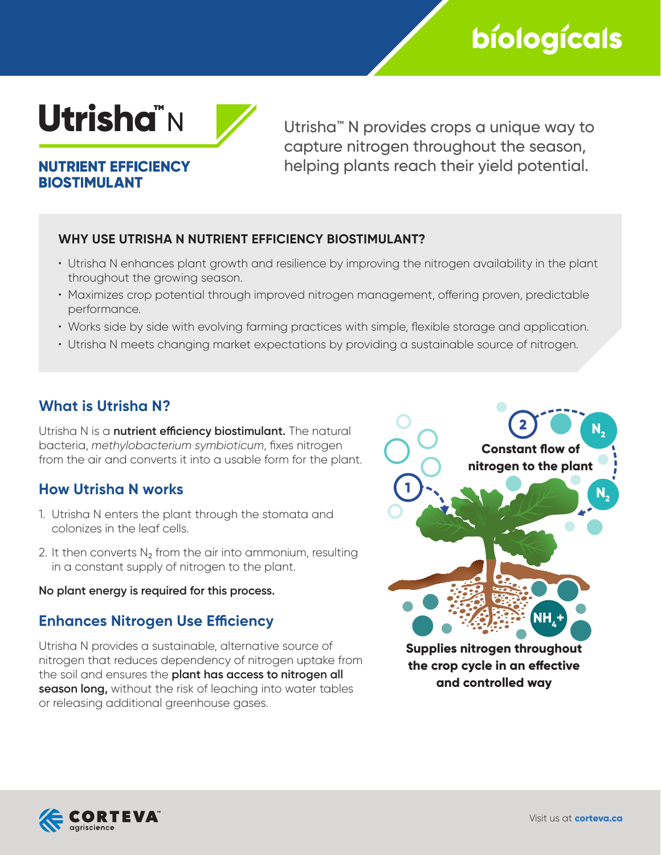# bíologícals



**NUTRIENT EFFICIENCY BIOSTIMULANT** 

Utrisha™ N provides crops a unique way to capture nitrogen throughout the season, helping plants reach their yield potential.

### **WHY USE UTRISHA N NUTRIENT EFFICIENCY BIOSTIMULANT?**

- Utrisha N enhances plant growth and resilience by improving the nitrogen availability in the plant throughout the growing season.
- Maximizes crop potential through improved nitrogen management, offering proven, predictable performance.
- Works side by side with evolving farming practices with simple, flexible storage and application.
- Utrisha N meets changing market expectations by providing a sustainable source of nitrogen.

# **What is Utrisha N?**

Utrisha N is a **nutrient efficiency biostimulant.** The natural bacteria, *methylobacterium symbioticum*, fixes nitrogen from the air and converts it into a usable form for the plant.

## **How Utrisha N works**

- 1. Utrisha N enters the plant through the stomata and colonizes in the leaf cells.
- 2. It then converts  $N<sub>2</sub>$  from the air into ammonium, resulting in a constant supply of nitrogen to the plant.

#### **No plant energy is required for this process.**

## **Enhances Nitrogen Use Efficiency**

Utrisha N provides a sustainable, alternative source of nitrogen that reduces dependency of nitrogen uptake from the soil and ensures the **plant has access to nitrogen all season long,** without the risk of leaching into water tables or releasing additional greenhouse gases.